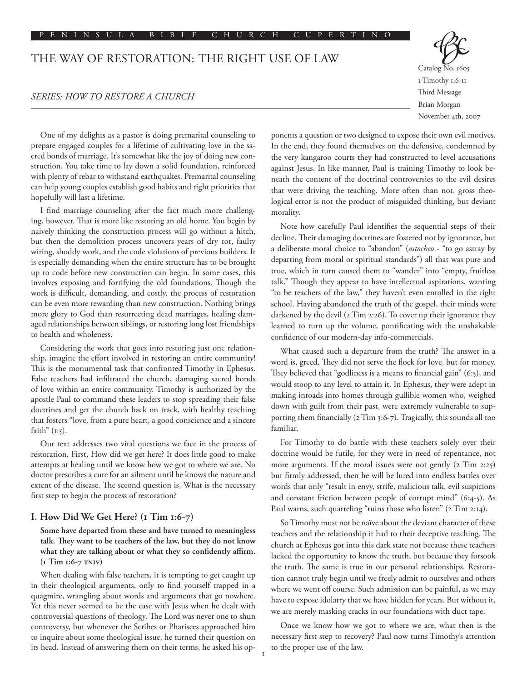#### P E N I N S U L A B I B L E C H U R C H C U P E R T I N O

# THE WAY OF RESTORATION: THE RIGHT USE OF LAW

### *SERIES: HOW TO RESTORE A CHURCH*



One of my delights as a pastor is doing premarital counseling to prepare engaged couples for a lifetime of cultivating love in the sacred bonds of marriage. It's somewhat like the joy of doing new construction. You take time to lay down a solid foundation, reinforced with plenty of rebar to withstand earthquakes. Premarital counseling can help young couples establish good habits and right priorities that hopefully will last a lifetime.

I find marriage counseling after the fact much more challenging, however. That is more like restoring an old home. You begin by naively thinking the construction process will go without a hitch, but then the demolition process uncovers years of dry rot, faulty wiring, shoddy work, and the code violations of previous builders. It is especially demanding when the entire structure has to be brought up to code before new construction can begin. In some cases, this involves exposing and fortifying the old foundations. Though the work is difficult, demanding, and costly, the process of restoration can be even more rewarding than new construction. Nothing brings more glory to God than resurrecting dead marriages, healing damaged relationships between siblings, or restoring long lost friendships to health and wholeness.

Considering the work that goes into restoring just one relationship, imagine the effort involved in restoring an entire community! This is the monumental task that confronted Timothy in Ephesus. False teachers had infiltrated the church, damaging sacred bonds of love within an entire community. Timothy is authorized by the apostle Paul to command these leaders to stop spreading their false doctrines and get the church back on track, with healthy teaching that fosters "love, from a pure heart, a good conscience and a sincere faith"  $(i:5)$ .

Our text addresses two vital questions we face in the process of restoration. First, How did we get here? It does little good to make attempts at healing until we know how we got to where we are. No doctor prescribes a cure for an ailment until he knows the nature and extent of the disease. The second question is, What is the necessary first step to begin the process of restoration?

#### **I. How Did We Get Here? (1 Tim 1:6-7)**

**Some have departed from these and have turned to meaningless talk. They want to be teachers of the law, but they do not know what they are talking about or what they so confidently affirm. (1 Tim 1:6-7 tniv)**

When dealing with false teachers, it is tempting to get caught up in their theological arguments, only to find yourself trapped in a quagmire, wrangling about words and arguments that go nowhere. Yet this never seemed to be the case with Jesus when he dealt with controversial questions of theology. The Lord was never one to shun controversy, but whenever the Scribes or Pharisees approached him to inquire about some theological issue, he turned their question on its head. Instead of answering them on their terms, he asked his op-

ponents a question or two designed to expose their own evil motives. In the end, they found themselves on the defensive, condemned by the very kangaroo courts they had constructed to level accusations against Jesus. In like manner, Paul is training Timothy to look beneath the content of the doctrinal controversies to the evil desires that were driving the teaching. More often than not, gross theological error is not the product of misguided thinking, but deviant morality.

Note how carefully Paul identifies the sequential steps of their decline. Their damaging doctrines are fostered not by ignorance, but a deliberate moral choice to "abandon" (*astocheo* - "to go astray by departing from moral or spiritual standards") all that was pure and true, which in turn caused them to "wander" into "empty, fruitless talk." Though they appear to have intellectual aspirations, wanting "to be teachers of the law," they haven't even enrolled in the right school. Having abandoned the truth of the gospel, their minds were darkened by the devil (2 Tim 2:26). To cover up their ignorance they learned to turn up the volume, pontificating with the unshakable confidence of our modern-day info-commercials.

What caused such a departure from the truth? The answer in a word is, greed. They did not serve the flock for love, but for money. They believed that "godliness is a means to financial gain" (6:5), and would stoop to any level to attain it. In Ephesus, they were adept in making inroads into homes through gullible women who, weighed down with guilt from their past, were extremely vulnerable to supporting them financially (2 Tim 3:6-7). Tragically, this sounds all too familiar.

For Timothy to do battle with these teachers solely over their doctrine would be futile, for they were in need of repentance, not more arguments. If the moral issues were not gently (2 Tim 2:25) but firmly addressed, then he will be lured into endless battles over words that only "result in envy, strife, malicious talk, evil suspicions and constant friction between people of corrupt mind" (6:4-5). As Paul warns, such quarreling "ruins those who listen" (2 Tim 2:14).

So Timothy must not be naïve about the deviant character of these teachers and the relationship it had to their deceptive teaching. The church at Ephesus got into this dark state not because these teachers lacked the opportunity to know the truth, but because they forsook the truth. The same is true in our personal relationships. Restoration cannot truly begin until we freely admit to ourselves and others where we went off course. Such admission can be painful, as we may have to expose idolatry that we have hidden for years. But without it, we are merely masking cracks in our foundations with duct tape.

Once we know how we got to where we are, what then is the necessary first step to recovery? Paul now turns Timothy's attention to the proper use of the law.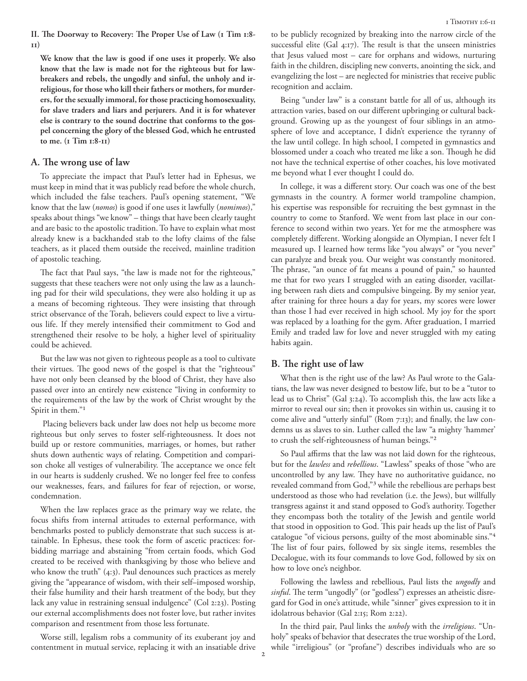**II. The Doorway to Recovery: The Proper Use of Law (1 Tim 1:8- 11)**

**We know that the law is good if one uses it properly. We also know that the law is made not for the righteous but for lawbreakers and rebels, the ungodly and sinful, the unholy and irreligious, for those who kill their fathers or mothers, for murderers, for the sexually immoral, for those practicing homosexuality, for slave traders and liars and perjurers. And it is for whatever else is contrary to the sound doctrine that conforms to the gospel concerning the glory of the blessed God, which he entrusted to me. (1 Tim 1:8-11)**

#### **A. The wrong use of law**

To appreciate the impact that Paul's letter had in Ephesus, we must keep in mind that it was publicly read before the whole church, which included the false teachers. Paul's opening statement, "We know that the law (*nomos*) is good if one uses it lawfully (*nomimos*)," speaks about things "we know" – things that have been clearly taught and are basic to the apostolic tradition. To have to explain what most already knew is a backhanded stab to the lofty claims of the false teachers, as it placed them outside the received, mainline tradition of apostolic teaching.

The fact that Paul says, "the law is made not for the righteous," suggests that these teachers were not only using the law as a launching pad for their wild speculations, they were also holding it up as a means of becoming righteous. They were insisting that through strict observance of the Torah, believers could expect to live a virtuous life. If they merely intensified their commitment to God and strengthened their resolve to be holy, a higher level of spirituality could be achieved.

But the law was not given to righteous people as a tool to cultivate their virtues. The good news of the gospel is that the "righteous" have not only been cleansed by the blood of Christ, they have also passed over into an entirely new existence "living in conformity to the requirements of the law by the work of Christ wrought by the Spirit in them."1

 Placing believers back under law does not help us become more righteous but only serves to foster self-righteousness. It does not build up or restore communities, marriages, or homes, but rather shuts down authentic ways of relating. Competition and comparison choke all vestiges of vulnerability. The acceptance we once felt in our hearts is suddenly crushed. We no longer feel free to confess our weaknesses, fears, and failures for fear of rejection, or worse, condemnation.

When the law replaces grace as the primary way we relate, the focus shifts from internal attitudes to external performance, with benchmarks posted to publicly demonstrate that such success is attainable. In Ephesus, these took the form of ascetic practices: forbidding marriage and abstaining "from certain foods, which God created to be received with thanksgiving by those who believe and who know the truth" (4:3). Paul denounces such practices as merely giving the "appearance of wisdom, with their self–imposed worship, their false humility and their harsh treatment of the body, but they lack any value in restraining sensual indulgence" (Col 2:23). Posting our external accomplishments does not foster love, but rather invites comparison and resentment from those less fortunate.

Worse still, legalism robs a community of its exuberant joy and contentment in mutual service, replacing it with an insatiable drive to be publicly recognized by breaking into the narrow circle of the successful elite (Gal 4:17). The result is that the unseen ministries that Jesus valued most – care for orphans and widows, nurturing faith in the children, discipling new converts, anointing the sick, and evangelizing the lost – are neglected for ministries that receive public recognition and acclaim.

Being "under law" is a constant battle for all of us, although its attraction varies, based on our different upbringing or cultural background. Growing up as the youngest of four siblings in an atmosphere of love and acceptance, I didn't experience the tyranny of the law until college. In high school, I competed in gymnastics and blossomed under a coach who treated me like a son. Though he did not have the technical expertise of other coaches, his love motivated me beyond what I ever thought I could do.

In college, it was a different story. Our coach was one of the best gymnasts in the country. A former world trampoline champion, his expertise was responsible for recruiting the best gymnast in the country to come to Stanford. We went from last place in our conference to second within two years. Yet for me the atmosphere was completely different. Working alongside an Olympian, I never felt I measured up. I learned how terms like "you always" or "you never" can paralyze and break you. Our weight was constantly monitored. The phrase, "an ounce of fat means a pound of pain," so haunted me that for two years I struggled with an eating disorder, vacillating between rash diets and compulsive bingeing. By my senior year, after training for three hours a day for years, my scores were lower than those I had ever received in high school. My joy for the sport was replaced by a loathing for the gym. After graduation, I married Emily and traded law for love and never struggled with my eating habits again.

#### **B. The right use of law**

What then is the right use of the law? As Paul wrote to the Galatians, the law was never designed to bestow life, but to be a "tutor to lead us to Christ" (Gal 3:24). To accomplish this, the law acts like a mirror to reveal our sin; then it provokes sin within us, causing it to come alive and "utterly sinful" (Rom 7:13); and finally, the law condemns us as slaves to sin. Luther called the law "a mighty 'hammer' to crush the self-righteousness of human beings."2

So Paul affirms that the law was not laid down for the righteous, but for the *lawless* and *rebellious*. "Lawless" speaks of those "who are uncontrolled by any law. They have no authoritative guidance, no revealed command from God,"3 while the rebellious are perhaps best understood as those who had revelation (i.e. the Jews), but willfully transgress against it and stand opposed to God's authority. Together they encompass both the totality of the Jewish and gentile world that stood in opposition to God. This pair heads up the list of Paul's catalogue "of vicious persons, guilty of the most abominable sins."4 The list of four pairs, followed by six single items, resembles the Decalogue, with its four commands to love God, followed by six on how to love one's neighbor.

Following the lawless and rebellious, Paul lists the *ungodly* and *sinful*. The term "ungodly" (or "godless") expresses an atheistic disregard for God in one's attitude, while "sinner" gives expression to it in idolatrous behavior (Gal 2:15; Rom 2:22).

In the third pair, Paul links the *unholy* with the *irreligious*. "Unholy" speaks of behavior that desecrates the true worship of the Lord, while "irreligious" (or "profane") describes individuals who are so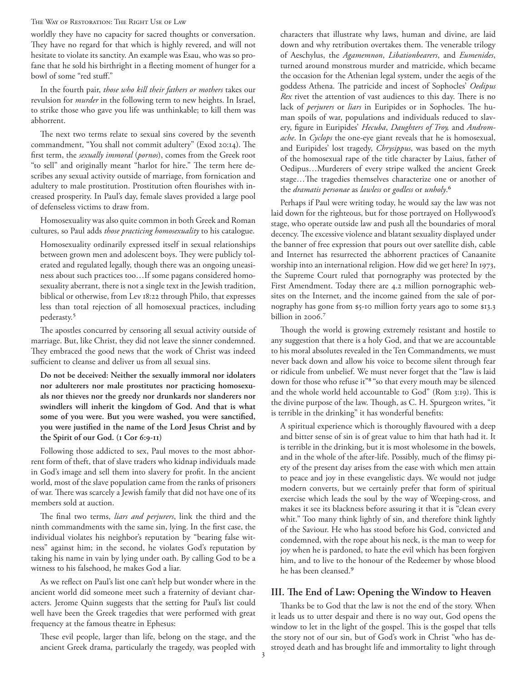#### The Way of Restoration: The Right Use of Law

worldly they have no capacity for sacred thoughts or conversation. They have no regard for that which is highly revered, and will not hesitate to violate its sanctity. An example was Esau, who was so profane that he sold his birthright in a fleeting moment of hunger for a bowl of some "red stuff."

In the fourth pair, *those who kill their fathers or mothers* takes our revulsion for *murder* in the following term to new heights. In Israel, to strike those who gave you life was unthinkable; to kill them was abhorrent.

The next two terms relate to sexual sins covered by the seventh commandment, "You shall not commit adultery" (Exod 20:14). The first term, the *sexually immoral* (*pornos*), comes from the Greek root "to sell" and originally meant "harlot for hire." The term here describes any sexual activity outside of marriage, from fornication and adultery to male prostitution. Prostitution often flourishes with increased prosperity. In Paul's day, female slaves provided a large pool of defenseless victims to draw from.

Homosexuality was also quite common in both Greek and Roman cultures, so Paul adds *those practicing homosexuality* to his catalogue.

Homosexuality ordinarily expressed itself in sexual relationships between grown men and adolescent boys. They were publicly tolerated and regulated legally, though there was an ongoing uneasiness about such practices too…If some pagans considered homosexuality aberrant, there is not a single text in the Jewish tradition, biblical or otherwise, from Lev 18:22 through Philo, that expresses less than total rejection of all homosexual practices, including pederasty.5

The apostles concurred by censoring all sexual activity outside of marriage. But, like Christ, they did not leave the sinner condemned. They embraced the good news that the work of Christ was indeed sufficient to cleanse and deliver us from all sexual sins.

**Do not be deceived: Neither the sexually immoral nor idolaters nor adulterers nor male prostitutes nor practicing homosexuals nor thieves nor the greedy nor drunkards nor slanderers nor swindlers will inherit the kingdom of God. And that is what some of you were. But you were washed, you were sanctified, you were justified in the name of the Lord Jesus Christ and by the Spirit of our God. (1 Cor 6:9-11)**

Following those addicted to sex, Paul moves to the most abhorrent form of theft, that of slave traders who kidnap individuals made in God's image and sell them into slavery for profit. In the ancient world, most of the slave population came from the ranks of prisoners of war. There was scarcely a Jewish family that did not have one of its members sold at auction.

The final two terms, *liars and perjurers*, link the third and the ninth commandments with the same sin, lying. In the first case, the individual violates his neighbor's reputation by "bearing false witness" against him; in the second, he violates God's reputation by taking his name in vain by lying under oath. By calling God to be a witness to his falsehood, he makes God a liar.

As we reflect on Paul's list one can't help but wonder where in the ancient world did someone meet such a fraternity of deviant characters. Jerome Quinn suggests that the setting for Paul's list could well have been the Greek tragedies that were performed with great frequency at the famous theatre in Ephesus:

These evil people, larger than life, belong on the stage, and the ancient Greek drama, particularly the tragedy, was peopled with characters that illustrate why laws, human and divine, are laid down and why retribution overtakes them. The venerable trilogy of Aeschylus, the *Agamemnon*, *Libationbearers*, and *Eumenides*, turned around monstrous murder and matricide, which became the occasion for the Athenian legal system, under the aegis of the goddess Athena. The patricide and incest of Sophocles' *Oedipus Rex* rivet the attention of vast audiences to this day. There is no lack of *perjurers* or *liars* in Euripides or in Sophocles. The human spoils of war, populations and individuals reduced to slavery, figure in Euripides' *Hecuba*, *Daughters of Troy,* and *Andromache*. In *Cyclops* the one-eye giant reveals that he is homosexual, and Euripides' lost tragedy, *Chrysippus*, was based on the myth of the homosexual rape of the title character by Laius, father of Oedipus…Murderers of every stripe walked the ancient Greek stage…The tragedies themselves characterize one or another of the *dramatis personae* as *lawless* or *godless* or *unholy*.6

Perhaps if Paul were writing today, he would say the law was not laid down for the righteous, but for those portrayed on Hollywood's stage, who operate outside law and push all the boundaries of moral decency. The excessive violence and blatant sexuality displayed under the banner of free expression that pours out over satellite dish, cable and Internet has resurrected the abhorrent practices of Canaanite worship into an international religion. How did we get here? In 1973, the Supreme Court ruled that pornography was protected by the First Amendment. Today there are 4.2 million pornographic websites on the Internet, and the income gained from the sale of pornography has gone from \$5-10 million forty years ago to some \$13.3 billion in 2006.<sup>7</sup>

Though the world is growing extremely resistant and hostile to any suggestion that there is a holy God, and that we are accountable to his moral absolutes revealed in the Ten Commandments, we must never back down and allow his voice to become silent through fear or ridicule from unbelief. We must never forget that the "law is laid down for those who refuse it"8 "so that every mouth may be silenced and the whole world held accountable to God" (Rom 3:19). This is the divine purpose of the law. Though, as C. H. Spurgeon writes, "it is terrible in the drinking" it has wonderful benefits:

A spiritual experience which is thoroughly flavoured with a deep and bitter sense of sin is of great value to him that hath had it. It is terrible in the drinking, but it is most wholesome in the bowels, and in the whole of the after-life. Possibly, much of the flimsy piety of the present day arises from the ease with which men attain to peace and joy in these evangelistic days. We would not judge modern converts, but we certainly prefer that form of spiritual exercise which leads the soul by the way of Weeping-cross, and makes it see its blackness before assuring it that it is "clean every whit." Too many think lightly of sin, and therefore think lightly of the Saviour. He who has stood before his God, convicted and condemned, with the rope about his neck, is the man to weep for joy when he is pardoned, to hate the evil which has been forgiven him, and to live to the honour of the Redeemer by whose blood he has been cleansed.9

## **III. The End of Law: Opening the Window to Heaven**

Thanks be to God that the law is not the end of the story. When it leads us to utter despair and there is no way out, God opens the window to let in the light of the gospel. This is the gospel that tells the story not of our sin, but of God's work in Christ "who has destroyed death and has brought life and immortality to light through